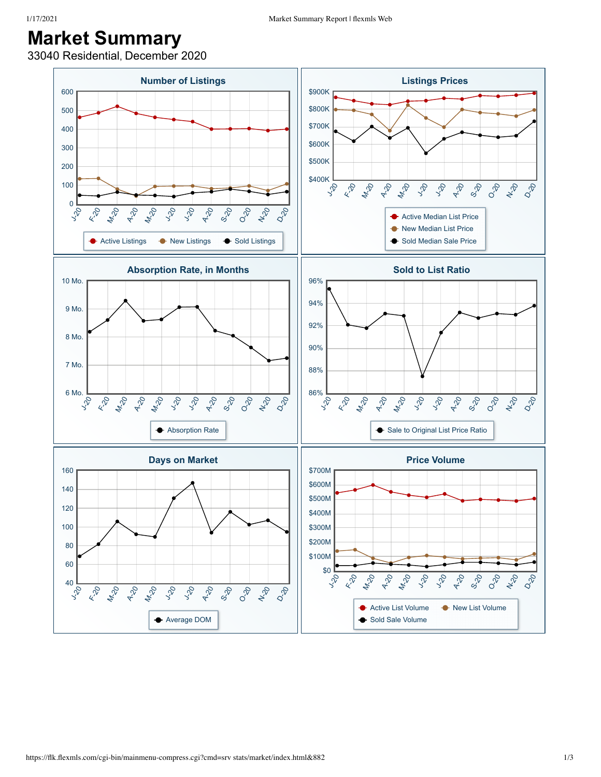## **Market Summary**

33040 Residential, December 2020

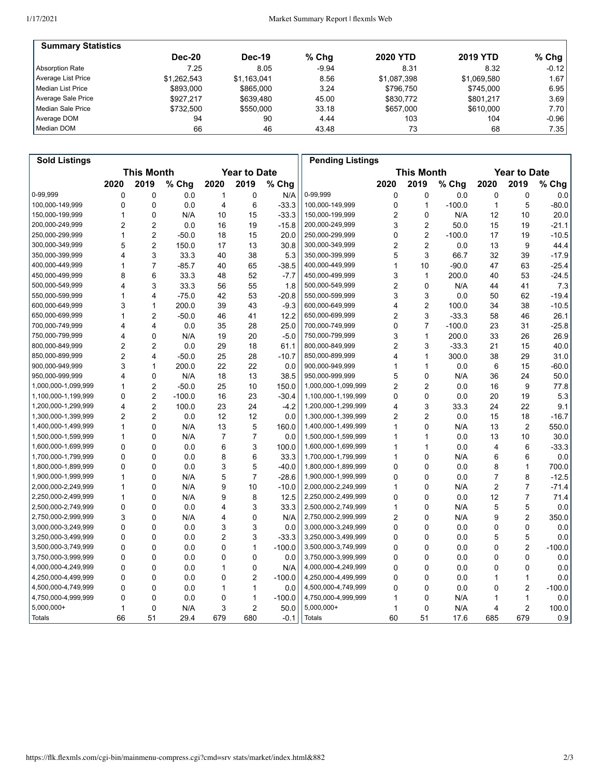| <b>Summary Statistics</b> |               |               |         |                 |                 |           |
|---------------------------|---------------|---------------|---------|-----------------|-----------------|-----------|
|                           | <b>Dec-20</b> | <b>Dec-19</b> | $%$ Chg | <b>2020 YTD</b> | <b>2019 YTD</b> | % Chg $ $ |
| Absorption Rate           | 7.25          | 8.05          | $-9.94$ | 8.31            | 8.32            | $-0.12$   |
| Average List Price        | \$1.262.543   | \$1,163,041   | 8.56    | \$1,087,398     | \$1,069,580     | 1.67      |
| l Median List Price       | \$893,000     | \$865,000     | 3.24    | \$796.750       | \$745.000       | 6.95      |
| Average Sale Price        | \$927.217     | \$639.480     | 45.00   | \$830.772       | \$801.217       | 3.69      |
| Median Sale Price         | \$732.500     | \$550,000     | 33.18   | \$657,000       | \$610,000       | 7.70      |
| Average DOM               | 94            | 90            | 4.44    | 103             | 104             | $-0.96$   |
| Median DOM                | 66            | 46            | 43.48   | 73              | 68              | 7.35      |

| <b>Sold Listings</b> |                                          |                |          |                |                   |          | <b>Pending Listings</b> |             |                     |          |      |                |          |
|----------------------|------------------------------------------|----------------|----------|----------------|-------------------|----------|-------------------------|-------------|---------------------|----------|------|----------------|----------|
|                      | <b>This Month</b><br><b>Year to Date</b> |                |          |                | <b>This Month</b> |          |                         |             | <b>Year to Date</b> |          |      |                |          |
|                      | 2020                                     | 2019           | % Chg    | 2020           | 2019              | % Chg    |                         | 2020        | 2019                | % Chg    | 2020 | 2019           | % Chg    |
| 0-99,999             | 0                                        | 0              | 0.0      | 1              | 0                 | N/A      | 0-99,999                | 0           | $\mathbf 0$         | 0.0      | 0    | 0              | 0.0      |
| 100,000-149,999      | 0                                        | 0              | 0.0      | 4              | 6                 | $-33.3$  | 100,000-149,999         | $\mathbf 0$ | $\mathbf{1}$        | $-100.0$ | 1    | 5              | $-80.0$  |
| 150,000-199,999      | 1                                        | 0              | N/A      | 10             | 15                | $-33.3$  | 150,000-199,999         | 2           | $\mathbf 0$         | N/A      | 12   | 10             | 20.0     |
| 200,000-249,999      | 2                                        | 2              | 0.0      | 16             | 19                | $-15.8$  | 200,000-249,999         | 3           | $\overline{2}$      | 50.0     | 15   | 19             | $-21.1$  |
| 250,000-299,999      | 1                                        | $\overline{c}$ | $-50.0$  | 18             | 15                | 20.0     | 250,000-299,999         | 0           | $\overline{c}$      | $-100.0$ | 17   | 19             | $-10.5$  |
| 300,000-349,999      | 5                                        | $\overline{2}$ | 150.0    | 17             | 13                | 30.8     | 300,000-349,999         | 2           | $\overline{2}$      | 0.0      | 13   | 9              | 44.4     |
| 350,000-399,999      | 4                                        | 3              | 33.3     | 40             | 38                | 5.3      | 350,000-399,999         | 5           | 3                   | 66.7     | 32   | 39             | $-17.9$  |
| 400,000-449,999      | 1                                        | $\overline{7}$ | $-85.7$  | 40             | 65                | $-38.5$  | 400,000-449,999         | 1           | 10                  | $-90.0$  | 47   | 63             | $-25.4$  |
| 450,000-499,999      | 8                                        | 6              | 33.3     | 48             | 52                | $-7.7$   | 450,000-499,999         | 3           | $\mathbf{1}$        | 200.0    | 40   | 53             | $-24.5$  |
| 500,000-549,999      | 4                                        | 3              | 33.3     | 56             | 55                | 1.8      | 500,000-549,999         | 2           | $\mathbf 0$         | N/A      | 44   | 41             | 7.3      |
| 550,000-599,999      | 1                                        | 4              | $-75.0$  | 42             | 53                | $-20.8$  | 550,000-599,999         | 3           | 3                   | 0.0      | 50   | 62             | $-19.4$  |
| 600,000-649,999      | 3                                        | 1              | 200.0    | 39             | 43                | $-9.3$   | 600,000-649,999         | 4           | $\overline{2}$      | 100.0    | 34   | 38             | $-10.5$  |
| 650,000-699,999      | 1                                        | $\overline{c}$ | $-50.0$  | 46             | 41                | 12.2     | 650,000-699,999         | 2           | 3                   | $-33.3$  | 58   | 46             | 26.1     |
| 700,000-749,999      | 4                                        | 4              | 0.0      | 35             | 28                | 25.0     | 700,000-749,999         | 0           | $\overline{7}$      | $-100.0$ | 23   | 31             | $-25.8$  |
| 750,000-799,999      | 4                                        | 0              | N/A      | 19             | 20                | $-5.0$   | 750,000-799,999         | 3           | $\mathbf{1}$        | 200.0    | 33   | 26             | 26.9     |
| 800,000-849,999      | $\overline{2}$                           | $\overline{2}$ | 0.0      | 29             | 18                | 61.1     | 800,000-849,999         | 2           | 3                   | $-33.3$  | 21   | 15             | 40.0     |
| 850,000-899,999      | $\overline{2}$                           | $\overline{4}$ | $-50.0$  | 25             | 28                | $-10.7$  | 850,000-899,999         | 4           | $\mathbf{1}$        | 300.0    | 38   | 29             | 31.0     |
| 900,000-949,999      | 3                                        | 1              | 200.0    | 22             | 22                | 0.0      | 900,000-949,999         | 1           | $\mathbf{1}$        | 0.0      | 6    | 15             | $-60.0$  |
| 950,000-999,999      | 4                                        | $\mathbf 0$    | N/A      | 18             | 13                | 38.5     | 950,000-999,999         | 5           | $\mathbf 0$         | N/A      | 36   | 24             | 50.0     |
| 1,000,000-1,099,999  | 1                                        | $\overline{c}$ | $-50.0$  | 25             | 10                | 150.0    | 1,000,000-1,099,999     | 2           | $\overline{2}$      | 0.0      | 16   | 9              | 77.8     |
| 1,100,000-1,199,999  | 0                                        | $\overline{c}$ | $-100.0$ | 16             | 23                | $-30.4$  | 1,100,000-1,199,999     | $\Omega$    | $\mathbf 0$         | 0.0      | 20   | 19             | 5.3      |
| 1,200,000-1,299,999  | 4                                        | $\overline{2}$ | 100.0    | 23             | 24                | $-4.2$   | 1,200,000-1,299,999     | 4           | 3                   | 33.3     | 24   | 22             | 9.1      |
| 1,300,000-1,399,999  | 2                                        | $\overline{c}$ | 0.0      | 12             | 12                | 0.0      | 1,300,000-1,399,999     | 2           | 2                   | 0.0      | 15   | 18             | $-16.7$  |
| 1,400,000-1,499,999  | 1                                        | 0              | N/A      | 13             | 5                 | 160.0    | 1,400,000-1,499,999     | 1           | $\mathbf 0$         | N/A      | 13   | 2              | 550.0    |
| 1,500,000-1,599,999  | 1                                        | 0              | N/A      | $\overline{7}$ | 7                 | 0.0      | 1,500,000-1,599,999     | 1           | $\mathbf{1}$        | 0.0      | 13   | 10             | 30.0     |
| 1,600,000-1,699,999  | 0                                        | 0              | 0.0      | 6              | 3                 | 100.0    | 1,600,000-1,699,999     | 1           | $\mathbf{1}$        | 0.0      | 4    | 6              | $-33.3$  |
| 1,700,000-1,799,999  | $\overline{0}$                           | 0              | 0.0      | 8              | 6                 | 33.3     | 1,700,000-1,799,999     | 1           | $\mathbf 0$         | N/A      | 6    | 6              | 0.0      |
| 1,800,000-1,899,999  | 0                                        | 0              | 0.0      | 3              | 5                 | $-40.0$  | 1,800,000-1,899,999     | 0           | $\mathbf{0}$        | 0.0      | 8    | $\mathbf{1}$   | 700.0    |
| 1,900,000-1,999,999  | 1                                        | 0              | N/A      | 5              | $\overline{7}$    | $-28.6$  | 1,900,000-1,999,999     | 0           | $\mathbf 0$         | 0.0      | 7    | 8              | $-12.5$  |
| 2,000,000-2,249,999  | 1                                        | 0              | N/A      | 9              | 10                | $-10.0$  | 2,000,000-2,249,999     | 1           | $\mathbf 0$         | N/A      | 2    | $\overline{7}$ | $-71.4$  |
| 2,250,000-2,499,999  | 1                                        | 0              | N/A      | 9              | 8                 | 12.5     | 2,250,000-2,499,999     | 0           | 0                   | 0.0      | 12   | $\overline{7}$ | 71.4     |
| 2,500,000-2,749,999  | 0                                        | $\Omega$       | 0.0      | 4              | 3                 | 33.3     | 2,500,000-2,749,999     | 1           | $\mathbf{0}$        | N/A      | 5    | 5              | 0.0      |
| 2,750,000-2,999,999  | 3                                        | 0              | N/A      | 4              | 0                 | N/A      | 2,750,000-2,999,999     | 2           | $\mathbf{0}$        | N/A      | 9    | 2              | 350.0    |
| 3,000,000-3,249,999  | 0                                        | 0              | 0.0      | 3              | 3                 | 0.0      | 3,000,000-3,249,999     | 0           | $\mathbf 0$         | 0.0      | 0    | 0              | 0.0      |
| 3,250,000-3,499,999  | 0                                        | 0              | 0.0      | 2              | 3                 | $-33.3$  | 3,250,000-3,499,999     | 0           | $\mathbf 0$         | 0.0      | 5    | 5              | 0.0      |
| 3,500,000-3,749,999  | 0                                        | 0              | 0.0      | 0              | 1                 | $-100.0$ | 3,500,000-3,749,999     | 0           | 0                   | 0.0      | 0    | 2              | $-100.0$ |
| 3,750,000-3,999,999  | 0                                        | $\Omega$       | 0.0      | 0              | 0                 | 0.0      | 3,750,000-3,999,999     | 0           | $\mathbf{0}$        | 0.0      | 0    | 0              | 0.0      |
| 4,000,000-4,249,999  | 0                                        | 0              | 0.0      | 1              | 0                 | N/A      | 4,000,000-4,249,999     | 0           | $\mathbf{0}$        | 0.0      | 0    | 0              | 0.0      |
| 4,250,000-4,499,999  | 0                                        | 0              | 0.0      | 0              | 2                 | $-100.0$ | 4,250,000-4,499,999     | 0           | $\mathbf 0$         | 0.0      | 1    | $\mathbf{1}$   | 0.0      |
| 4,500,000-4,749,999  | $\mathbf 0$                              | 0              | 0.0      | 1              | 1                 | 0.0      | 4,500,000-4,749,999     | 0           | $\mathbf 0$         | 0.0      | 0    | 2              | $-100.0$ |
| 4,750,000-4,999,999  | 0                                        | 0              | 0.0      | 0              | 1                 | $-100.0$ | 4,750,000-4,999,999     | 1           | 0                   | N/A      | 1    | 1              | 0.0      |
| $5,000,000+$         | 1                                        | 0              | N/A      | 3              | 2                 | 50.0     | $5,000,000+$            | 1           | $\mathbf 0$         | N/A      | 4    | $\overline{c}$ | 100.0    |
| Totals               | 66                                       | 51             | 29.4     | 679            | 680               | $-0.1$   | Totals                  | 60          | 51                  | 17.6     | 685  | 679            | 0.9      |
|                      |                                          |                |          |                |                   |          |                         |             |                     |          |      |                |          |